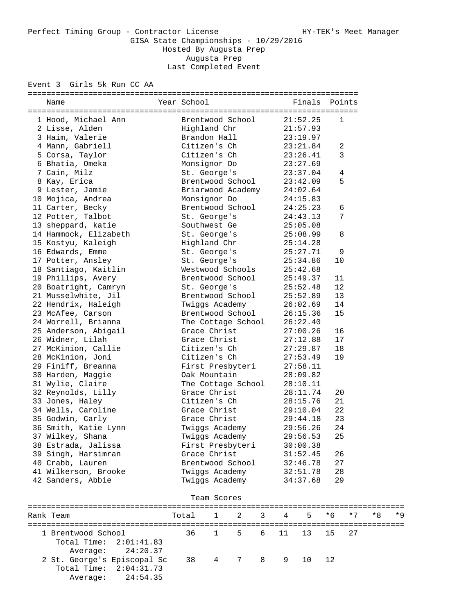Event 3 Girls 5k Run CC AA

| Name                  | Year School        | Finals   | Points       |
|-----------------------|--------------------|----------|--------------|
| 1 Hood, Michael Ann   | Brentwood School   | 21:52.25 | $\mathbf{1}$ |
| 2 Lisse, Alden        | Highland Chr       | 21:57.93 |              |
| 3 Haim, Valerie       | Brandon Hall       | 23:19.97 |              |
| 4 Mann, Gabriell      | Citizen's Ch       | 23:21.84 | 2            |
| 5 Corsa, Taylor       | Citizen's Ch       | 23:26.41 | 3            |
| 6 Bhatia, Omeka       | Monsignor Do       | 23:27.69 |              |
| 7 Cain, Milz          | St. George's       | 23:37.04 | 4            |
| 8 Kay, Erica          | Brentwood School   | 23:42.09 | 5            |
| 9 Lester, Jamie       | Briarwood Academy  | 24:02.64 |              |
| 10 Mojica, Andrea     | Monsignor Do       | 24:15.83 |              |
| 11 Carter, Becky      | Brentwood School   | 24:25.23 | 6            |
| 12 Potter, Talbot     | St. George's       | 24:43.13 | 7            |
| 13 sheppard, katie    | Southwest Ge       | 25:05.08 |              |
| 14 Hammock, Elizabeth | St. George's       | 25:08.99 | 8            |
| 15 Kostyu, Kaleigh    | Highland Chr       | 25:14.28 |              |
| 16 Edwards, Emme      | St. George's       | 25:27.71 | 9            |
| 17 Potter, Ansley     | St. George's       | 25:34.86 | 10           |
| 18 Santiago, Kaitlin  | Westwood Schools   | 25:42.68 |              |
| 19 Phillips, Avery    | Brentwood School   | 25:49.37 | 11           |
| 20 Boatright, Camryn  | St. George's       | 25:52.48 | 12           |
| 21 Musselwhite, Jil   | Brentwood School   | 25:52.89 | 13           |
| 22 Hendrix, Haleigh   | Twiggs Academy     | 26:02.69 | 14           |
| 23 McAfee, Carson     | Brentwood School   | 26:15.36 | 15           |
| 24 Worrell, Brianna   | The Cottage School | 26:22.40 |              |
| 25 Anderson, Abigail  | Grace Christ       | 27:00.26 | 16           |
| 26 Widner, Lilah      | Grace Christ       | 27:12.88 | 17           |
| 27 McKinion, Callie   | Citizen's Ch       | 27:29.87 | 18           |
| 28 McKinion, Joni     | Citizen's Ch       | 27:53.49 | 19           |
| 29 Finiff, Breanna    | First Presbyteri   | 27:58.11 |              |
| 30 Harden, Maggie     | Oak Mountain       | 28:09.82 |              |
| 31 Wylie, Claire      | The Cottage School | 28:10.11 |              |
| 32 Reynolds, Lilly    | Grace Christ       | 28:11.74 | 20           |
| 33 Jones, Haley       | Citizen's Ch       | 28:15.76 | 21           |
| 34 Wells, Caroline    | Grace Christ       | 29:10.04 | 22           |
| 35 Godwin, Carly      | Grace Christ       | 29:44.18 | 23           |
| 36 Smith, Katie Lynn  | Twiggs Academy     | 29:56.26 | 24           |
| 37 Wilkey, Shana      | Twiggs Academy     | 29:56.53 | 25           |
| 38 Estrada, Jalissa   | First Presbyteri   | 30:00.38 |              |
| 39 Singh, Harsimran   | Grace Christ       | 31:52.45 | 26           |
| 40 Crabb, Lauren      | Brentwood School   | 32:46.78 | 27           |
| 41 Wilkerson, Brooke  | Twiggs Academy     | 32:51.78 | 28           |
| 42 Sanders, Abbie     | Twiggs Academy     | 34:37.68 | 29           |
|                       |                    |          |              |

| Team Scores |                                                         |                                           |                       |  |  |  |  |  |      |      |
|-------------|---------------------------------------------------------|-------------------------------------------|-----------------------|--|--|--|--|--|------|------|
|             | Rank Team                                               |                                           | Total 1 2 3 4 5 *6 *7 |  |  |  |  |  | $*8$ | $*9$ |
|             | 1 Brentwood School<br>Total Time: $2:01:41.83$          | 36 1 5 6 11 13 15 27<br>Average: 24:20.37 |                       |  |  |  |  |  |      |      |
|             | 2 St. George's Episcopal Sc<br>Total Time: $2:04:31.73$ | Average: 24:54.35                         | 38 4 7 8 9 10 12      |  |  |  |  |  |      |      |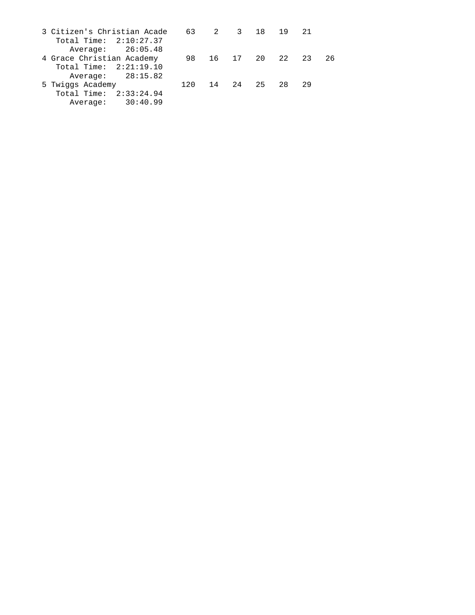| 3 Citizen's Christian Acade 63 2 3 18 19 21 |  |              |       |                      |  |
|---------------------------------------------|--|--------------|-------|----------------------|--|
| Total Time: $2:10:27.37$                    |  |              |       |                      |  |
| Average: 26:05.48                           |  |              |       |                      |  |
| 4 Grace Christian Academy                   |  |              |       | 98 16 17 20 22 23 26 |  |
| Total Time: $2:21:19.10$                    |  |              |       |                      |  |
| Average: 28:15.82                           |  |              |       |                      |  |
| 5 Twiggs Academy                            |  | 120 14 24 25 | 28 29 |                      |  |
| Total Time: $2:33:24.94$                    |  |              |       |                      |  |
| Average: 30:40.99                           |  |              |       |                      |  |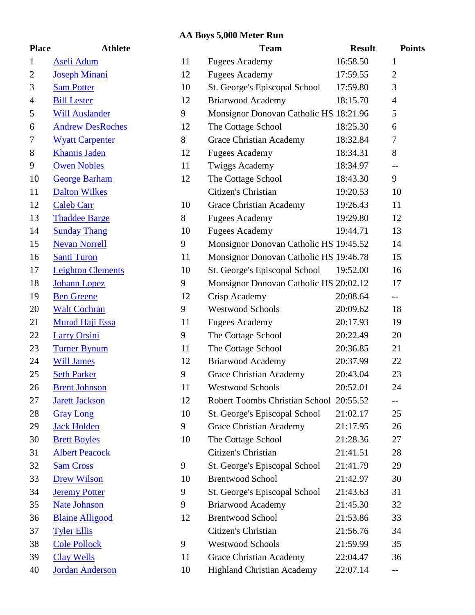# **AA Boys 5,000 Meter Run**

| <b>Place</b>   | <b>Athlete</b>           |              |
|----------------|--------------------------|--------------|
| $\mathbf{1}$   | Aseli Adum               | $\mathbf 1$  |
| $\overline{c}$ | <b>Joseph Minani</b>     | $\mathbf{1}$ |
| 3              | <b>Sam Potter</b>        | $\mathbf{1}$ |
| $\overline{4}$ | <b>Bill Lester</b>       | $\mathbf{1}$ |
| 5              | <b>Will Auslander</b>    | S            |
| 6              | <b>Andrew DesRoches</b>  | $\mathbf 1$  |
| 7              | <b>Wyatt Carpenter</b>   | 8            |
| 8              | <b>Khamis Jaden</b>      | $\mathbf{1}$ |
| 9              | <b>Owen Nobles</b>       | $\mathbf{1}$ |
| 10             | <b>George Barham</b>     | $\mathbf{1}$ |
| 11             | <b>Dalton Wilkes</b>     |              |
| 12             | <b>Caleb Carr</b>        | $\mathbf{1}$ |
| 13             | <b>Thaddee Barge</b>     | 8            |
| 14             | <b>Sunday Thang</b>      | $\mathbf{1}$ |
| 15             | <b>Nevan Norrell</b>     | S            |
| 16             | <b>Santi Turon</b>       | $\mathbf 1$  |
| 17             | <b>Leighton Clements</b> | $\mathbf{1}$ |
| 18             | <b>Johann Lopez</b>      | S            |
| 19             | <b>Ben Greene</b>        | $\mathbf{1}$ |
| 20             | <b>Walt Cochran</b>      | S            |
| 21             | <b>Murad Haji Essa</b>   | $\mathbf 1$  |
| 22             | <b>Larry Orsini</b>      | S            |
| 23             | <b>Turner Bynum</b>      | $\mathbf{1}$ |
| 24             | <b>Will James</b>        | $\mathbf{1}$ |
| 25             | <b>Seth Parker</b>       | S            |
| 26             | <b>Brent Johnson</b>     | $\mathbf{1}$ |
| 27             | <b>Jarett Jackson</b>    | 1            |
| 28             | <b>Gray Long</b>         | $\mathbf{1}$ |
| 29             | <b>Jack Holden</b>       | S            |
| 30             | <b>Brett Boyles</b>      | $\mathbf 1$  |
| 31             | <b>Albert Peacock</b>    |              |
| 32             | <b>Sam Cross</b>         | S            |
| 33             | <b>Drew Wilson</b>       | $\mathbf{1}$ |
| 34             | <b>Jeremy Potter</b>     | S            |
| 35             | <b>Nate Johnson</b>      | S            |
| 36             | <b>Blaine Alligood</b>   | $\mathbf{1}$ |
| 37             | <b>Tyler Ellis</b>       |              |
| 38             | <b>Cole Pollock</b>      | S            |
| 39             | <b>Clay Wells</b>        | 1            |
| 40             | <b>Jordan Anderson</b>   | $\mathbf{1}$ |

| <b>Place</b>            | <b>Athlete</b>           |    | <b>Team</b>                             | <b>Result</b> | <b>Points</b>            |
|-------------------------|--------------------------|----|-----------------------------------------|---------------|--------------------------|
| $\mathbf{1}$            | Aseli Adum               | 11 | <b>Fugees Academy</b>                   | 16:58.50      | 1                        |
| $\overline{\mathbf{c}}$ | <b>Joseph Minani</b>     | 12 | <b>Fugees Academy</b>                   | 17:59.55      | $\overline{2}$           |
| 3                       | <b>Sam Potter</b>        | 10 | St. George's Episcopal School           | 17:59.80      | 3                        |
| 4                       | <b>Bill Lester</b>       | 12 | <b>Briarwood Academy</b>                | 18:15.70      | $\overline{4}$           |
| 5                       | <b>Will Auslander</b>    | 9  | Monsignor Donovan Catholic HS 18:21.96  |               | 5                        |
| 6                       | <b>Andrew DesRoches</b>  | 12 | The Cottage School                      | 18:25.30      | 6                        |
| 7                       | <b>Wyatt Carpenter</b>   | 8  | <b>Grace Christian Academy</b>          | 18:32.84      | 7                        |
| 8                       | <b>Khamis Jaden</b>      | 12 | <b>Fugees Academy</b>                   | 18:34.31      | $8\,$                    |
| 9                       | <b>Owen Nobles</b>       | 11 | Twiggs Academy                          | 18:34.97      | $-$                      |
| 10                      | <b>George Barham</b>     | 12 | The Cottage School                      | 18:43.30      | 9                        |
| 11                      | <b>Dalton Wilkes</b>     |    | Citizen's Christian                     | 19:20.53      | 10                       |
| 12                      | <b>Caleb Carr</b>        | 10 | <b>Grace Christian Academy</b>          | 19:26.43      | 11                       |
| 13                      | <b>Thaddee Barge</b>     | 8  | <b>Fugees Academy</b>                   | 19:29.80      | 12                       |
| 14                      | <b>Sunday Thang</b>      | 10 | <b>Fugees Academy</b>                   | 19:44.71      | 13                       |
| 15                      | <b>Nevan Norrell</b>     | 9  | Monsignor Donovan Catholic HS 19:45.52  |               | 14                       |
| 16                      | <b>Santi Turon</b>       | 11 | Monsignor Donovan Catholic HS 19:46.78  |               | 15                       |
| 17                      | <b>Leighton Clements</b> | 10 | St. George's Episcopal School           | 19:52.00      | 16                       |
| 18                      | <b>Johann Lopez</b>      | 9  | Monsignor Donovan Catholic HS 20:02.12  |               | 17                       |
| 19                      | <b>Ben Greene</b>        | 12 | Crisp Academy                           | 20:08.64      | $-$                      |
| 20                      | <b>Walt Cochran</b>      | 9  | <b>Westwood Schools</b>                 | 20:09.62      | 18                       |
| 21                      | <b>Murad Haji Essa</b>   | 11 | <b>Fugees Academy</b>                   | 20:17.93      | 19                       |
| 22                      | <b>Larry Orsini</b>      | 9  | The Cottage School                      | 20:22.49      | 20                       |
| 23                      | <b>Turner Bynum</b>      | 11 | The Cottage School                      | 20:36.85      | 21                       |
| 24                      | <b>Will James</b>        | 12 | <b>Briarwood Academy</b>                | 20:37.99      | 22                       |
| 25                      | <b>Seth Parker</b>       | 9  | <b>Grace Christian Academy</b>          | 20:43.04      | 23                       |
| 26                      | <b>Brent Johnson</b>     | 11 | <b>Westwood Schools</b>                 | 20:52.01      | 24                       |
| 27                      | <b>Jarett Jackson</b>    | 12 | Robert Toombs Christian School 20:55.52 |               | --                       |
| 28                      | <b>Gray Long</b>         | 10 | St. George's Episcopal School           | 21:02.17      | 25                       |
| 29                      | <b>Jack Holden</b>       | 9  | <b>Grace Christian Academy</b>          | 21:17.95      | 26                       |
| 30                      | <b>Brett Boyles</b>      | 10 | The Cottage School                      | 21:28.36      | 27                       |
| 31                      | <b>Albert Peacock</b>    |    | Citizen's Christian                     | 21:41.51      | 28                       |
| 32                      | <b>Sam Cross</b>         | 9  | St. George's Episcopal School           | 21:41.79      | 29                       |
| 33                      | <b>Drew Wilson</b>       | 10 | <b>Brentwood School</b>                 | 21:42.97      | 30                       |
| 34                      | <b>Jeremy Potter</b>     | 9  | St. George's Episcopal School           | 21:43.63      | 31                       |
| 35                      | <b>Nate Johnson</b>      | 9  | Briarwood Academy                       | 21:45.30      | 32                       |
| 36                      | <b>Blaine Alligood</b>   | 12 | <b>Brentwood School</b>                 | 21:53.86      | 33                       |
| 37                      | <b>Tyler Ellis</b>       |    | Citizen's Christian                     | 21:56.76      | 34                       |
| 38                      | <b>Cole Pollock</b>      | 9  | <b>Westwood Schools</b>                 | 21:59.99      | 35                       |
| 39                      | <b>Clay Wells</b>        | 11 | <b>Grace Christian Academy</b>          | 22:04.47      | 36                       |
| 40                      | <b>Jordan Anderson</b>   | 10 | <b>Highland Christian Academy</b>       | 22:07.14      | $\overline{\phantom{m}}$ |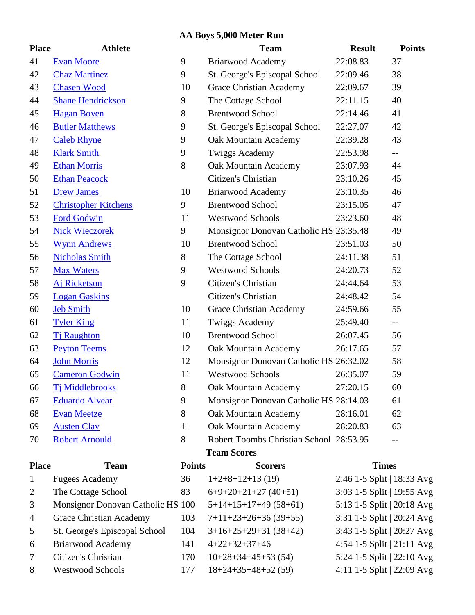### **AA Boys 5,000 Meter Run**

| <b>Place</b>   | <b>Athlete</b>                 |
|----------------|--------------------------------|
| 41             | <b>Evan Moore</b>              |
| 42             | <b>Chaz Martinez</b>           |
| 43             | <b>Chasen Wood</b>             |
| 44             | <b>Shane Hendrickson</b>       |
| 45             | <b>Hagan Boyen</b>             |
| 46             | <b>Butler Matthews</b>         |
| 47             | <b>Caleb Rhyne</b>             |
| 48             | <b>Klark Smith</b>             |
| 49             | <b>Ethan Morris</b>            |
| 50             | <b>Ethan Peacock</b>           |
| 51             | <b>Drew James</b>              |
| 52             | <b>Christopher Kitchens</b>    |
| 53             | <b>Ford Godwin</b>             |
| 54             | <b>Nick Wieczorek</b>          |
| 55             | <b>Wynn Andrews</b>            |
| 56             | <b>Nicholas Smith</b>          |
| 57             | <b>Max Waters</b>              |
| 58             | <b>Aj Ricketson</b>            |
| 59             | <b>Logan Gaskins</b>           |
| 60             | <b>Jeb Smith</b>               |
| 61             | <b>Tyler King</b>              |
| 62             | <b>Ti Raughton</b>             |
| 63             | <b>Peyton Teems</b>            |
| 64             | <b>John Morris</b>             |
| 65             | <b>Cameron Godwin</b>          |
| 66             | <b>Ti Middlebrooks</b>         |
| 67             | <b>Eduardo Alvear</b>          |
| 68             | <b>Evan Meetze</b>             |
| 69             | <b>Austen Clay</b>             |
| 70             | <b>Robert Arnould</b>          |
| <b>Place</b>   | <b>Team</b>                    |
| 1              | <b>Fugees Academy</b>          |
| $\overline{2}$ | The Cottage School             |
| 3              | Monsignor Donovan Catholi      |
| $\overline{4}$ | <b>Grace Christian Academy</b> |
| 5              | St. George's Episcopal Schoo   |
| 6              | <b>Briarwood Academy</b>       |
|                |                                |

| 8 | <b>Westwood Schools</b> |
|---|-------------------------|
|   |                         |

| <b>Place</b> | <b>Athlete</b>              |    | <b>Team</b>                             | <b>Result</b> | <b>Points</b>            |
|--------------|-----------------------------|----|-----------------------------------------|---------------|--------------------------|
| 41           | <b>Evan Moore</b>           | 9  | <b>Briarwood Academy</b>                | 22:08.83      | 37                       |
| 42           | <b>Chaz Martinez</b>        | 9  | St. George's Episcopal School           | 22:09.46      | 38                       |
| 43           | <b>Chasen Wood</b>          | 10 | <b>Grace Christian Academy</b>          | 22:09.67      | 39                       |
| 44           | <b>Shane Hendrickson</b>    | 9  | The Cottage School                      | 22:11.15      | 40                       |
| 45           | <b>Hagan Boyen</b>          | 8  | <b>Brentwood School</b>                 | 22:14.46      | 41                       |
| 46           | <b>Butler Matthews</b>      | 9  | St. George's Episcopal School           | 22:27.07      | 42                       |
| 47           | <b>Caleb Rhyne</b>          | 9  | Oak Mountain Academy                    | 22:39.28      | 43                       |
| 48           | <b>Klark Smith</b>          | 9  | <b>Twiggs Academy</b>                   | 22:53.98      | $\overline{\phantom{a}}$ |
| 49           | <b>Ethan Morris</b>         | 8  | Oak Mountain Academy                    | 23:07.93      | 44                       |
| 50           | <b>Ethan Peacock</b>        |    | Citizen's Christian                     | 23:10.26      | 45                       |
| 51           | <b>Drew James</b>           | 10 | Briarwood Academy                       | 23:10.35      | 46                       |
| 52           | <b>Christopher Kitchens</b> | 9  | <b>Brentwood School</b>                 | 23:15.05      | 47                       |
| 53           | <b>Ford Godwin</b>          | 11 | <b>Westwood Schools</b>                 | 23:23.60      | 48                       |
| 54           | <b>Nick Wieczorek</b>       | 9  | Monsignor Donovan Catholic HS 23:35.48  |               | 49                       |
| 55           | <b>Wynn Andrews</b>         | 10 | <b>Brentwood School</b>                 | 23:51.03      | 50                       |
| 56           | <b>Nicholas Smith</b>       | 8  | The Cottage School                      | 24:11.38      | 51                       |
| 57           | <b>Max Waters</b>           | 9  | <b>Westwood Schools</b>                 | 24:20.73      | 52                       |
| 58           | <b>Aj Ricketson</b>         | 9  | Citizen's Christian                     | 24:44.64      | 53                       |
| 59           | <b>Logan Gaskins</b>        |    | Citizen's Christian                     | 24:48.42      | 54                       |
| 60           | <b>Jeb Smith</b>            | 10 | <b>Grace Christian Academy</b>          | 24:59.66      | 55                       |
| 61           | <b>Tyler King</b>           | 11 | Twiggs Academy                          | 25:49.40      | $- -$                    |
| 62           | <b>Ti Raughton</b>          | 10 | <b>Brentwood School</b>                 | 26:07.45      | 56                       |
| 63           | <b>Peyton Teems</b>         | 12 | Oak Mountain Academy                    | 26:17.65      | 57                       |
| 64           | <b>John Morris</b>          | 12 | Monsignor Donovan Catholic HS 26:32.02  |               | 58                       |
| 65           | <b>Cameron Godwin</b>       | 11 | <b>Westwood Schools</b>                 | 26:35.07      | 59                       |
| 66           | Ti Middlebrooks             | 8  | Oak Mountain Academy                    | 27:20.15      | 60                       |
| 67           | <b>Eduardo Alvear</b>       | 9  | Monsignor Donovan Catholic HS 28:14.03  |               | 61                       |
| 68           | <b>Evan Meetze</b>          | 8  | Oak Mountain Academy                    | 28:16.01      | 62                       |
| 69           | <b>Austen Clay</b>          | 11 | Oak Mountain Academy                    | 28:20.83      | 63                       |
| 70           | <b>Robert Arnould</b>       | 8  | Robert Toombs Christian School 28:53.95 |               |                          |
|              |                             |    | <b>Team Scores</b>                      |               |                          |

| <b>Place</b>    | <b>Team</b>                       | <b>Points</b> | <b>Scorers</b>         | <b>Times</b>                |
|-----------------|-----------------------------------|---------------|------------------------|-----------------------------|
| $\mathbf{1}$    | <b>Fugees Academy</b>             | 36            | $1+2+8+12+13(19)$      | 2:46 1-5 Split   18:33 Avg  |
| $\overline{2}$  | The Cottage School                | 83            | $6+9+20+21+27(40+51)$  | 3:03 1-5 Split   19:55 Avg  |
| 3               | Monsignor Donovan Catholic HS 100 |               | $5+14+15+17+49(58+61)$ | 5:13 1-5 Split   20:18 Avg  |
| 4               | <b>Grace Christian Academy</b>    | 103           | $7+11+23+26+36(39+55)$ | 3:31 1-5 Split   20:24 Avg  |
| 5               | St. George's Episcopal School     | 104           | $3+16+25+29+31(38+42)$ | 3:43 1-5 Split   20:27 Avg  |
| 6               | Briarwood Academy                 | 141           | $4+22+32+37+46$        | 4:54 1-5 Split $ 21:11$ Avg |
| $7\phantom{.0}$ | Citizen's Christian               | 170           | $10+28+34+45+53(54)$   | 5:24 1-5 Split   22:10 Avg  |
| 8               | <b>Westwood Schools</b>           | 177           | $18+24+35+48+52(59)$   | 4:11 1-5 Split   22:09 Avg  |
|                 |                                   |               |                        |                             |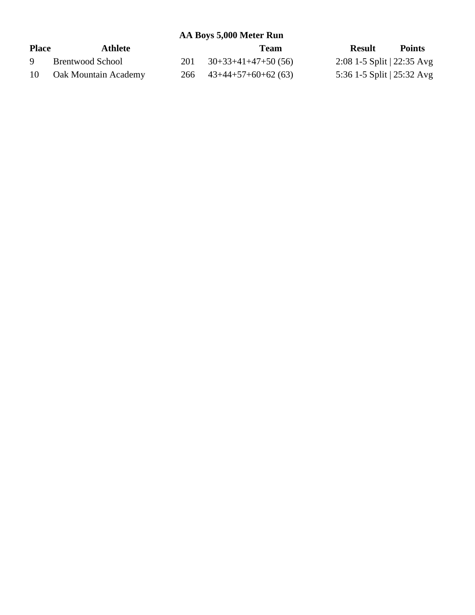**AA Boys 5,000 Meter Run**

| <b>Place</b> | Athlete              | Team                           | <b>Result</b>                        | <b>Points</b> |
|--------------|----------------------|--------------------------------|--------------------------------------|---------------|
| Q            | Brentwood School     | $201 \quad 30+33+41+47+50(56)$ | 2:08 1-5 Split $ 22:35 \text{ Avg} $ |               |
| 10           | Oak Mountain Academy | $266$ $43+44+57+60+62(63)$     | 5:36 1-5 Split $ 25:32 \text{ Avg} $ |               |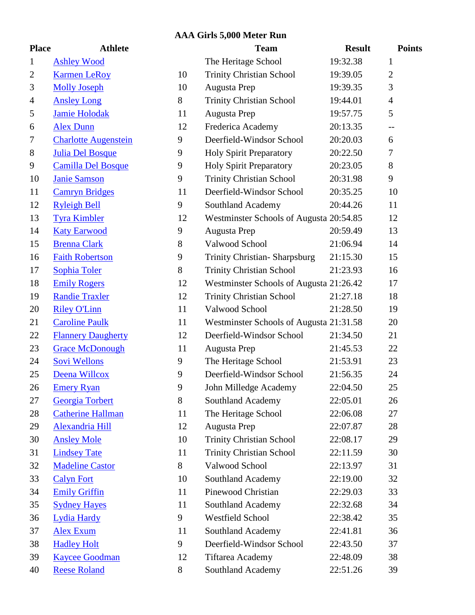### **AAA Girls 5,000 Meter Run**

| <b>Place</b>   | <b>Athlete</b>              |       | <b>Team</b>                             | <b>Result</b> | <b>Points</b>  |
|----------------|-----------------------------|-------|-----------------------------------------|---------------|----------------|
| $\mathbf 1$    | <b>Ashley Wood</b>          |       | The Heritage School                     | 19:32.38      | 1              |
| $\overline{2}$ | <b>Karmen LeRoy</b>         | 10    | <b>Trinity Christian School</b>         | 19:39.05      | $\overline{2}$ |
| 3              | <b>Molly Joseph</b>         | 10    | Augusta Prep                            | 19:39.35      | 3              |
| $\overline{4}$ | <b>Ansley Long</b>          | 8     | <b>Trinity Christian School</b>         | 19:44.01      | $\overline{4}$ |
| 5              | <b>Jamie Holodak</b>        | 11    | Augusta Prep                            | 19:57.75      | 5              |
| 6              | <b>Alex Dunn</b>            | 12    | Frederica Academy                       | 20:13.35      | $-$            |
| $\tau$         | <b>Charlotte Augenstein</b> | 9     | Deerfield-Windsor School                | 20:20.03      | 6              |
| 8              | <b>Julia Del Bosque</b>     | 9     | <b>Holy Spirit Preparatory</b>          | 20:22.50      | 7              |
| 9              | <b>Camilla Del Bosque</b>   | 9     | <b>Holy Spirit Preparatory</b>          | 20:23.05      | $8\,$          |
| 10             | <b>Janie Samson</b>         | 9     | <b>Trinity Christian School</b>         | 20:31.98      | 9              |
| 11             | <b>Camryn Bridges</b>       | 11    | Deerfield-Windsor School                | 20:35.25      | 10             |
| 12             | <b>Ryleigh Bell</b>         | 9     | Southland Academy                       | 20:44.26      | 11             |
| 13             | <b>Tyra Kimbler</b>         | 12    | Westminster Schools of Augusta 20:54.85 |               | 12             |
| 14             | <b>Katy Earwood</b>         | 9     | Augusta Prep                            | 20:59.49      | 13             |
| 15             | <b>Brenna Clark</b>         | $8\,$ | Valwood School                          | 21:06.94      | 14             |
| 16             | <b>Faith Robertson</b>      | 9     | Trinity Christian-Sharpsburg            | 21:15.30      | 15             |
| 17             | <b>Sophia Toler</b>         | 8     | <b>Trinity Christian School</b>         | 21:23.93      | 16             |
| 18             | <b>Emily Rogers</b>         | 12    | Westminster Schools of Augusta 21:26.42 |               | 17             |
| 19             | <b>Randie Traxler</b>       | 12    | <b>Trinity Christian School</b>         | 21:27.18      | 18             |
| 20             | <b>Riley O'Linn</b>         | 11    | Valwood School                          | 21:28.50      | 19             |
| 21             | <b>Caroline Paulk</b>       | 11    | Westminster Schools of Augusta 21:31.58 |               | 20             |
| 22             | <b>Flannery Daugherty</b>   | 12    | Deerfield-Windsor School                | 21:34.50      | 21             |
| 23             | <b>Grace McDonough</b>      | 11    | Augusta Prep                            | 21:45.53      | 22             |
| 24             | Sovi Wellons                | 9     | The Heritage School                     | 21:53.91      | 23             |
| 25             | Deena Willcox               | 9     | Deerfield-Windsor School                | 21:56.35      | 24             |
| 26             | <b>Emery Ryan</b>           | 9     | John Milledge Academy                   | 22:04.50      | 25             |
| 27             | Georgia Torbert             | 8     | Southland Academy                       | 22:05.01      | 26             |
| 28             | <b>Catherine Hallman</b>    | 11    | The Heritage School                     | 22:06.08      | 27             |
| 29             | <b>Alexandria Hill</b>      | 12    | Augusta Prep                            | 22:07.87      | 28             |
| 30             | <b>Ansley Mole</b>          | 10    | <b>Trinity Christian School</b>         | 22:08.17      | 29             |
| 31             | <b>Lindsey Tate</b>         | 11    | <b>Trinity Christian School</b>         | 22:11.59      | 30             |
| 32             | <b>Madeline Castor</b>      | 8     | Valwood School                          | 22:13.97      | 31             |
| 33             | <b>Calyn Fort</b>           | 10    | Southland Academy                       | 22:19.00      | 32             |
| 34             | <b>Emily Griffin</b>        | 11    | Pinewood Christian                      | 22:29.03      | 33             |
| 35             | <b>Sydney Hayes</b>         | 11    | Southland Academy                       | 22:32.68      | 34             |
| 36             | <b>Lydia Hardy</b>          | 9     | <b>Westfield School</b>                 | 22:38.42      | 35             |
| 37             | <b>Alex Exum</b>            | 11    | Southland Academy                       | 22:41.81      | 36             |
| 38             | <b>Hadley Holt</b>          | 9     | Deerfield-Windsor School                | 22:43.50      | 37             |
| 39             | <b>Kaycee Goodman</b>       | 12    | <b>Tiftarea Academy</b>                 | 22:48.09      | 38             |
| 40             | <b>Reese Roland</b>         | $8\,$ | Southland Academy                       | 22:51.26      | 39             |

|                | <b>Team</b>                              | <b>Result</b> | Poin           |
|----------------|------------------------------------------|---------------|----------------|
|                | The Heritage School                      | 19:32.38      | 1              |
| 0              | <b>Trinity Christian School</b>          | 19:39.05      | $\overline{2}$ |
| 0              | Augusta Prep                             | 19:39.35      | 3              |
|                | <b>Trinity Christian School</b>          | 19:44.01      | 4              |
| 1              | Augusta Prep                             | 19:57.75      | 5              |
| 2              | Frederica Academy                        | 20:13.35      | $-$            |
|                | Deerfield-Windsor School                 | 20:20.03      | 6              |
|                | <b>Holy Spirit Preparatory</b>           | 20:22.50      | 7              |
|                | <b>Holy Spirit Preparatory</b>           | 20:23.05      | 8              |
|                | <b>Trinity Christian School</b>          | 20:31.98      | 9              |
| 1              | Deerfield-Windsor School                 | 20:35.25      | 10             |
|                | <b>Southland Academy</b>                 | 20:44.26      | 11             |
| $\overline{c}$ | Westminster Schools of Augusta 20:54.85  |               | 12             |
|                | Augusta Prep                             | 20:59.49      | 13             |
|                | Valwood School                           | 21:06.94      | 14             |
|                | <b>Trinity Christian-Sharpsburg</b>      | 21:15.30      | 15             |
|                | <b>Trinity Christian School</b>          | 21:23.93      | 16             |
| $\overline{c}$ | Westminster Schools of Augusta 21:26.42  |               | 17             |
| $\overline{c}$ | <b>Trinity Christian School</b>          | 21:27.18      | 18             |
| $\mathbf{1}$   | Valwood School                           | 21:28.50      | 19             |
| 1              | Westminster Schools of Augusta 21:31.58  |               | 20             |
| 2              | Deerfield-Windsor School                 | 21:34.50      | 21             |
| 1              | Augusta Prep                             | 21:45.53      | 22             |
|                | The Heritage School                      | 21:53.91      | 23             |
|                | Deerfield-Windsor School                 | 21:56.35      | 24             |
|                | John Milledge Academy                    | 22:04.50      | 25             |
|                | Southland Academy                        | 22:05.01      | 26             |
| 1              | The Heritage School                      | 22:06.08      | 27             |
| 2              | Augusta Prep                             | 22:07.87      | 28             |
| 0              | <b>Trinity Christian School</b>          | 22:08.17      | 29             |
| 1              | <b>Trinity Christian School</b>          | 22:11.59      | 30             |
|                | Valwood School                           | 22:13.97      | 31             |
| 0              | Southland Academy                        | 22:19.00      | 32             |
| 1              | Pinewood Christian                       | 22:29.03      | 33             |
| 1              | Southland Academy                        | 22:32.68      | 34             |
|                | <b>Westfield School</b>                  | 22:38.42      | 35             |
| 1              | Southland Academy                        | 22:41.81      | 36             |
|                | Deerfield-Windsor School                 | 22:43.50      | 37             |
| 2              | Tiftarea Academy                         | 22:48.09      | 38             |
|                | $\mathcal{R}_{\text{out}}$ bland Agadamy | 22.5126       | 20             |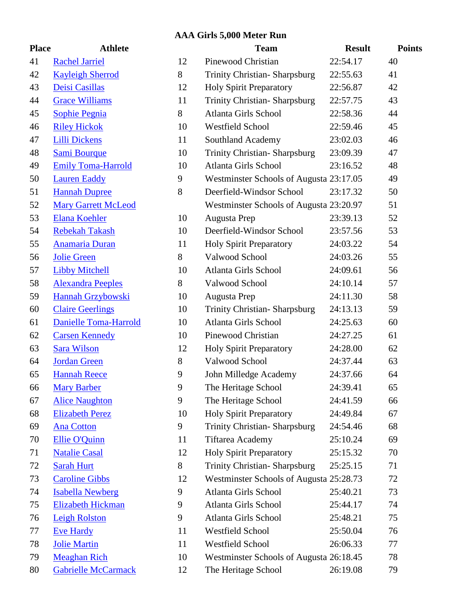#### **AAA Girls 5,000 Meter Run**

| <b>Place</b> | <b>Athlete</b>             |              |
|--------------|----------------------------|--------------|
| 41           | <b>Rachel Jarriel</b>      | $\mathbf{1}$ |
| 42           | <b>Kayleigh Sherrod</b>    | 8            |
| 43           | Deisi Casillas             | $\mathbf{1}$ |
| 44           | <b>Grace Williams</b>      | $\mathbf{1}$ |
| 45           | <b>Sophie Pegnia</b>       | 8            |
| 46           | <b>Riley Hickok</b>        | $\mathbf{1}$ |
| 47           | <b>Lilli Dickens</b>       | $\mathbf{1}$ |
| 48           | <b>Sami Bourque</b>        | $\mathbf{1}$ |
| 49           | <b>Emily Toma-Harrold</b>  | $\mathbf{1}$ |
| 50           | <b>Lauren Eaddy</b>        | 9            |
| 51           | <b>Hannah Dupree</b>       | 8            |
| 52           | <b>Mary Garrett McLeod</b> |              |
| 53           | <b>Elana Koehler</b>       | $\mathbf{1}$ |
| 54           | <b>Rebekah Takash</b>      | $\mathbf{1}$ |
| 55           | <b>Anamaria Duran</b>      | $\mathbf{1}$ |
| 56           | <b>Jolie Green</b>         | 8            |
| 57           | <b>Libby Mitchell</b>      | $\mathbf{1}$ |
| 58           | <b>Alexandra Peeples</b>   | 8            |
| 59           | <b>Hannah Grzybowski</b>   | $\mathbf{1}$ |
| 60           | <b>Claire Geerlings</b>    | $\mathbf{1}$ |
| 61           | Danielle Toma-Harrold      | $\mathbf{1}$ |
| 62           | <b>Carsen Kennedy</b>      | $\mathbf{1}$ |
| 63           | <b>Sara Wilson</b>         | $\mathbf{1}$ |
| 64           | <b>Jordan Green</b>        | 8            |
| 65           | <b>Hannah Reece</b>        | 9            |
| 66           | <b>Mary Barber</b>         | 9            |
| 67           | <b>Alice Naughton</b>      | 9            |
| 68           | <b>Elizabeth Perez</b>     | $\mathbf{1}$ |
| 69           | <b>Ana Cotton</b>          | 9            |
| 70           | <b>Ellie O'Quinn</b>       | $\mathbf{1}$ |
| 71           | <b>Natalie Casal</b>       | $\mathbf{1}$ |
| 72           | <b>Sarah Hurt</b>          | 8            |
| 73           | <b>Caroline Gibbs</b>      | $\mathbf{1}$ |
| 74           | <b>Isabella Newberg</b>    | 9            |
| 75           | <b>Elizabeth Hickman</b>   | 9            |
| 76           | <b>Leigh Rolston</b>       | 9            |
| 77           | <b>Eve Hardy</b>           | $\mathbf{1}$ |
| 78           | <b>Jolie Martin</b>        | $\mathbf{1}$ |
| 79           | <b>Meaghan Rich</b>        | $\mathbf 1$  |
| 80           | <b>Gabrielle McCarmack</b> | $\mathbf{1}$ |

| <b>Place</b> | <b>Athlete</b>               |    | <b>Team</b>                             | <b>Result</b> | <b>Points</b> |
|--------------|------------------------------|----|-----------------------------------------|---------------|---------------|
| 41           | <b>Rachel Jarriel</b>        | 12 | Pinewood Christian                      | 22:54.17      | 40            |
| 42           | <b>Kayleigh Sherrod</b>      | 8  | <b>Trinity Christian-Sharpsburg</b>     | 22:55.63      | 41            |
| 43           | Deisi Casillas               | 12 | <b>Holy Spirit Preparatory</b>          | 22:56.87      | 42            |
| 44           | <b>Grace Williams</b>        | 11 | <b>Trinity Christian-Sharpsburg</b>     | 22:57.75      | 43            |
| 45           | <b>Sophie Pegnia</b>         | 8  | Atlanta Girls School                    | 22:58.36      | 44            |
| 46           | <b>Riley Hickok</b>          | 10 | <b>Westfield School</b>                 | 22:59.46      | 45            |
| 47           | <b>Lilli Dickens</b>         | 11 | Southland Academy                       | 23:02.03      | 46            |
| 48           | <b>Sami Bourque</b>          | 10 | <b>Trinity Christian-Sharpsburg</b>     | 23:09.39      | 47            |
| 49           | <b>Emily Toma-Harrold</b>    | 10 | Atlanta Girls School                    | 23:16.52      | 48            |
| 50           | <b>Lauren Eaddy</b>          | 9  | Westminster Schools of Augusta 23:17.05 |               | 49            |
| 51           | <b>Hannah Dupree</b>         | 8  | Deerfield-Windsor School                | 23:17.32      | 50            |
| 52           | <b>Mary Garrett McLeod</b>   |    | Westminster Schools of Augusta 23:20.97 |               | 51            |
| 53           | <b>Elana Koehler</b>         | 10 | Augusta Prep                            | 23:39.13      | 52            |
| 54           | <b>Rebekah Takash</b>        | 10 | Deerfield-Windsor School                | 23:57.56      | 53            |
| 55           | <b>Anamaria Duran</b>        | 11 | <b>Holy Spirit Preparatory</b>          | 24:03.22      | 54            |
| 56           | <b>Jolie Green</b>           | 8  | Valwood School                          | 24:03.26      | 55            |
| 57           | <b>Libby Mitchell</b>        | 10 | <b>Atlanta Girls School</b>             | 24:09.61      | 56            |
| 58           | <b>Alexandra Peeples</b>     | 8  | Valwood School                          | 24:10.14      | 57            |
| 59           | Hannah Grzybowski            | 10 | Augusta Prep                            | 24:11.30      | 58            |
| 60           | <b>Claire Geerlings</b>      | 10 | <b>Trinity Christian-Sharpsburg</b>     | 24:13.13      | 59            |
| 61           | <b>Danielle Toma-Harrold</b> | 10 | Atlanta Girls School                    | 24:25.63      | 60            |
| 62           | <b>Carsen Kennedy</b>        | 10 | Pinewood Christian                      | 24:27.25      | 61            |
| 63           | <b>Sara Wilson</b>           | 12 | <b>Holy Spirit Preparatory</b>          | 24:28.00      | 62            |
| 64           | <b>Jordan Green</b>          | 8  | Valwood School                          | 24:37.44      | 63            |
| 65           | <b>Hannah Reece</b>          | 9  | John Milledge Academy                   | 24:37.66      | 64            |
| 66           | <b>Mary Barber</b>           | 9  | The Heritage School                     | 24:39.41      | 65            |
| 67           | <b>Alice Naughton</b>        | 9  | The Heritage School                     | 24:41.59      | 66            |
| 68           | <b>Elizabeth Perez</b>       | 10 | <b>Holy Spirit Preparatory</b>          | 24:49.84      | 67            |
| 69           | <b>Ana Cotton</b>            | 9  | Trinity Christian-Sharpsburg            | 24:54.46      | 68            |
| 70           | <b>Ellie O'Quinn</b>         | 11 | Tiftarea Academy                        | 25:10.24      | 69            |
| 71           | <b>Natalie Casal</b>         | 12 | <b>Holy Spirit Preparatory</b>          | 25:15.32      | 70            |
| 72           | <b>Sarah Hurt</b>            | 8  | <b>Trinity Christian-Sharpsburg</b>     | 25:25.15      | 71            |
| 73           | <b>Caroline Gibbs</b>        | 12 | Westminster Schools of Augusta 25:28.73 |               | 72            |
| 74           | <b>Isabella Newberg</b>      | 9  | Atlanta Girls School                    | 25:40.21      | 73            |
| 75           | <b>Elizabeth Hickman</b>     | 9  | Atlanta Girls School                    | 25:44.17      | 74            |
| 76           | <b>Leigh Rolston</b>         | 9  | <b>Atlanta Girls School</b>             | 25:48.21      | 75            |
| 77           | <b>Eve Hardy</b>             | 11 | Westfield School                        | 25:50.04      | 76            |
| 78           | <b>Jolie Martin</b>          | 11 | Westfield School                        | 26:06.33      | 77            |
| 79           | <b>Meaghan Rich</b>          | 10 | Westminster Schools of Augusta 26:18.45 |               | 78            |
| 80           | <b>Gabrielle McCarmack</b>   | 12 | The Heritage School                     | 26:19.08      | 79            |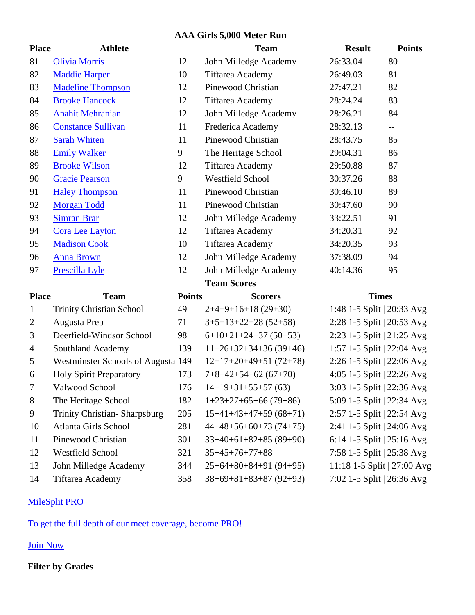#### **AAA Girls 5,000 Meter Run**

| <b>Place</b>   | <b>Athlete</b>                     |               | <b>Team</b>             | <b>Result</b>               | <b>Points</b>            |
|----------------|------------------------------------|---------------|-------------------------|-----------------------------|--------------------------|
| 81             | <b>Olivia Morris</b>               | 12            | John Milledge Academy   | 26:33.04                    | 80                       |
| 82             | <b>Maddie Harper</b>               | 10            | <b>Tiftarea Academy</b> | 26:49.03                    | 81                       |
| 83             | <b>Madeline Thompson</b>           | 12            | Pinewood Christian      | 27:47.21                    | 82                       |
| 84             | <b>Brooke Hancock</b>              | 12            | <b>Tiftarea Academy</b> | 28:24.24                    | 83                       |
| 85             | <b>Anahit Mehranian</b>            | 12            | John Milledge Academy   | 28:26.21                    | 84                       |
| 86             | <b>Constance Sullivan</b>          | 11            | Frederica Academy       | 28:32.13                    | $\overline{\phantom{a}}$ |
| 87             | <b>Sarah Whiten</b>                | 11            | Pinewood Christian      | 28:43.75                    | 85                       |
| 88             | <b>Emily Walker</b>                | 9             | The Heritage School     | 29:04.31                    | 86                       |
| 89             | <b>Brooke Wilson</b>               | 12            | <b>Tiftarea Academy</b> | 29:50.88                    | 87                       |
| 90             | <b>Gracie Pearson</b>              | 9             | <b>Westfield School</b> | 30:37.26                    | 88                       |
| 91             | <b>Haley Thompson</b>              | 11            | Pinewood Christian      | 30:46.10                    | 89                       |
| 92             | <b>Morgan Todd</b>                 | 11            | Pinewood Christian      | 30:47.60                    | 90                       |
| 93             | <b>Simran Brar</b>                 | 12            | John Milledge Academy   | 33:22.51                    | 91                       |
| 94             | Cora Lee Layton                    | 12            | <b>Tiftarea Academy</b> | 34:20.31                    | 92                       |
| 95             | <b>Madison Cook</b>                | 10            | Tiftarea Academy        | 34:20.35                    | 93                       |
| 96             | <b>Anna Brown</b>                  | 12            | John Milledge Academy   | 37:38.09                    | 94                       |
| 97             | Prescilla Lyle                     | 12            | John Milledge Academy   | 40:14.36                    | 95                       |
|                |                                    |               | <b>Team Scores</b>      |                             |                          |
| <b>Place</b>   | <b>Team</b>                        | <b>Points</b> | <b>Scorers</b>          | <b>Times</b>                |                          |
| $\mathbf{1}$   | <b>Trinity Christian School</b>    | 49            | $2+4+9+16+18(29+30)$    | 1:48 1-5 Split   20:33 Avg  |                          |
| $\overline{2}$ | Augusta Prep                       | 71            | $3+5+13+22+28$ (52+58)  | 2:28 1-5 Split   20:53 Avg  |                          |
| 3              | Deerfield-Windsor School           | 98            | $6+10+21+24+37(50+53)$  | 2:23 1-5 Split   21:25 Avg  |                          |
| $\overline{4}$ | Southland Academy                  | 139           | $11+26+32+34+36(39+46)$ | 1:57 1-5 Split   22:04 Avg  |                          |
| 5              | Westminster Schools of Augusta 149 |               | $12+17+20+49+51(72+78)$ | 2:26 1-5 Split   22:06 Avg  |                          |
| 6              | <b>Holy Spirit Preparatory</b>     | 173           | $7+8+42+54+62(67+70)$   | 4:05 1-5 Split   22:26 Avg  |                          |
| 7              | Valwood School                     | 176           | $14+19+31+55+57(63)$    | 3:03 1-5 Split   22:36 Avg  |                          |
| 8              | The Heritage School                | 182           | $1+23+27+65+66(79+86)$  | 5:09 1-5 Split   22:34 Avg  |                          |
| 9              | Trinity Christian-Sharpsburg       | 205           | $15+41+43+47+59(68+71)$ | 2:57 1-5 Split   22:54 Avg  |                          |
| 10             | Atlanta Girls School               | 281           | $44+48+56+60+73(74+75)$ | 2:41 1-5 Split   24:06 Avg  |                          |
| 11             | Pinewood Christian                 | 301           | $33+40+61+82+85(89+90)$ | 6:14 1-5 Split   25:16 Avg  |                          |
| 12             | Westfield School                   | 321           | $35+45+76+77+88$        | 7:58 1-5 Split   25:38 Avg  |                          |
| 13             | John Milledge Academy              | 344           | $25+64+80+84+91(94+95)$ | 11:18 1-5 Split   27:00 Avg |                          |
| 14             | Tiftarea Academy                   | 358           | $38+69+81+83+87(92+93)$ | 7:02 1-5 Split   26:36 Avg  |                          |

## MileSplit PRO

To get the full depth of our meet coverage, become PRO!

Join Now

# **Filter by Grades**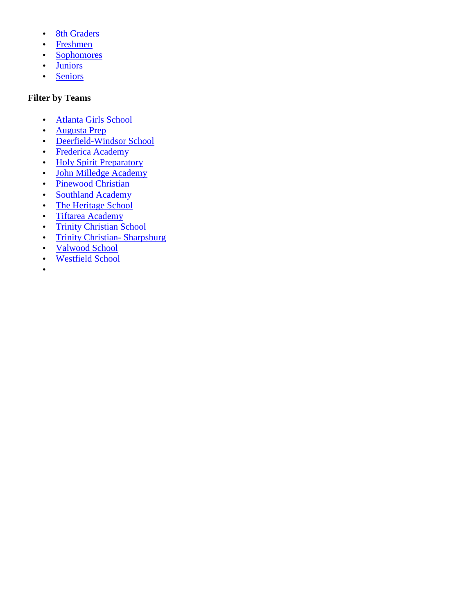- J 8th Graders
- Freshmen
- Sophomores
- Juniors
- ) Seniors

### **Filter by Teams**

- Atlanta Girls School
- Augusta Prep
- Deerfield-Windsor School
- Frederica Academy
- Holy Spirit Preparatory
- John Milledge Academy
- Pinewood Christian
- ) Southland Academy
- The Heritage School
- ) Tiftarea Academy
- J Trinity Christian School
- J Trinity Christian- Sharpsburg
- Valwood School
- Westfield School
- $\left| \right|$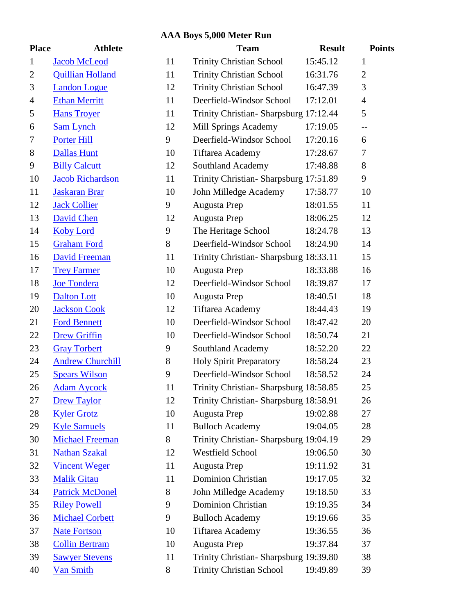### **AAA Boys 5,000 Meter Run**

| <b>Place</b>   | <b>Athlete</b>          |    | <b>Team</b>                            | <b>Result</b> | <b>Points</b>  |
|----------------|-------------------------|----|----------------------------------------|---------------|----------------|
| $\mathbf{1}$   | <b>Jacob McLeod</b>     | 11 | <b>Trinity Christian School</b>        | 15:45.12      | 1              |
| $\overline{2}$ | <b>Quillian Holland</b> | 11 | <b>Trinity Christian School</b>        | 16:31.76      | $\overline{2}$ |
| 3              | <b>Landon Logue</b>     | 12 | <b>Trinity Christian School</b>        | 16:47.39      | 3              |
| $\overline{4}$ | <b>Ethan Merritt</b>    | 11 | Deerfield-Windsor School               | 17:12.01      | $\overline{4}$ |
| 5              | <b>Hans Troyer</b>      | 11 | Trinity Christian-Sharpsburg 17:12.44  |               | 5              |
| 6              | <b>Sam Lynch</b>        | 12 | Mill Springs Academy                   | 17:19.05      | --             |
| 7              | <b>Porter Hill</b>      | 9  | Deerfield-Windsor School               | 17:20.16      | 6              |
| 8              | <b>Dallas Hunt</b>      | 10 | Tiftarea Academy                       | 17:28.67      | 7              |
| 9              | <b>Billy Calcutt</b>    | 12 | Southland Academy                      | 17:48.88      | $8\,$          |
| 10             | <b>Jacob Richardson</b> | 11 | Trinity Christian- Sharpsburg 17:51.89 |               | 9              |
| 11             | <b>Jaskaran Brar</b>    | 10 | John Milledge Academy                  | 17:58.77      | 10             |
| 12             | <b>Jack Collier</b>     | 9  | Augusta Prep                           | 18:01.55      | 11             |
| 13             | <b>David Chen</b>       | 12 | Augusta Prep                           | 18:06.25      | 12             |
| 14             | <b>Koby Lord</b>        | 9  | The Heritage School                    | 18:24.78      | 13             |
| 15             | <b>Graham Ford</b>      | 8  | Deerfield-Windsor School               | 18:24.90      | 14             |
| 16             | <b>David Freeman</b>    | 11 | Trinity Christian-Sharpsburg 18:33.11  |               | 15             |
| 17             | <b>Trey Farmer</b>      | 10 | Augusta Prep                           | 18:33.88      | 16             |
| 18             | <b>Joe Tondera</b>      | 12 | Deerfield-Windsor School               | 18:39.87      | 17             |
| 19             | <b>Dalton Lott</b>      | 10 | Augusta Prep                           | 18:40.51      | 18             |
| 20             | <b>Jackson Cook</b>     | 12 | Tiftarea Academy                       | 18:44.43      | 19             |
| 21             | <b>Ford Bennett</b>     | 10 | Deerfield-Windsor School               | 18:47.42      | 20             |
| 22             | <b>Drew Griffin</b>     | 10 | Deerfield-Windsor School               | 18:50.74      | 21             |
| 23             | <b>Gray Torbert</b>     | 9  | Southland Academy                      | 18:52.20      | 22             |
| 24             | <b>Andrew Churchill</b> | 8  | <b>Holy Spirit Preparatory</b>         | 18:58.24      | 23             |
| 25             | <b>Spears Wilson</b>    | 9  | Deerfield-Windsor School               | 18:58.52      | 24             |
| 26             | <b>Adam Aycock</b>      | 11 | Trinity Christian-Sharpsburg 18:58.85  |               | 25             |
| 27             | <b>Drew Taylor</b>      | 12 | Trinity Christian- Sharpsburg 18:58.91 |               | 26             |
| 28             | <b>Kyler Grotz</b>      | 10 | Augusta Prep                           | 19:02.88      | 27             |
| 29             | <b>Kyle Samuels</b>     | 11 | <b>Bulloch Academy</b>                 | 19:04.05      | 28             |
| 30             | <b>Michael Freeman</b>  | 8  | Trinity Christian- Sharpsburg 19:04.19 |               | 29             |
| 31             | <b>Nathan Szakal</b>    | 12 | <b>Westfield School</b>                | 19:06.50      | 30             |
| 32             | <b>Vincent Weger</b>    | 11 | Augusta Prep                           | 19:11.92      | 31             |
| 33             | <b>Malik Gitau</b>      | 11 | <b>Dominion Christian</b>              | 19:17.05      | 32             |
| 34             | <b>Patrick McDonel</b>  | 8  | John Milledge Academy                  | 19:18.50      | 33             |
| 35             | <b>Riley Powell</b>     | 9  | <b>Dominion Christian</b>              | 19:19.35      | 34             |
| 36             | <b>Michael Corbett</b>  | 9  | <b>Bulloch Academy</b>                 | 19:19.66      | 35             |
| 37             | <b>Nate Fortson</b>     | 10 | <b>Tiftarea Academy</b>                | 19:36.55      | 36             |
| 38             | <b>Collin Bertram</b>   | 10 | Augusta Prep                           | 19:37.84      | 37             |
| 39             | <b>Sawyer Stevens</b>   | 11 | Trinity Christian- Sharpsburg 19:39.80 |               | 38             |
| 40             | <b>Van Smith</b>        | 8  | <b>Trinity Christian School</b>        | 19:49.89      | 39             |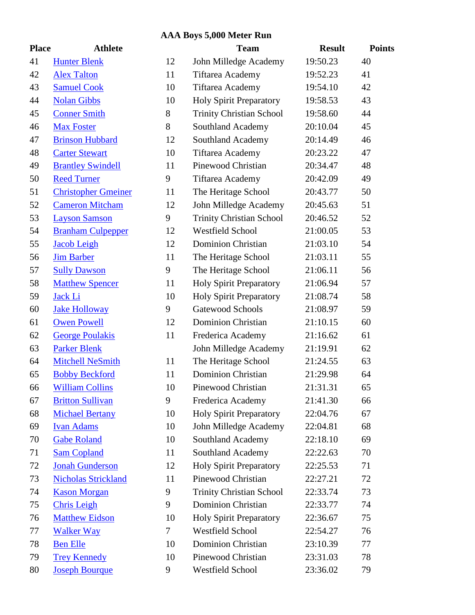# **AAA Boys 5,000 Meter Run**

| <b>Place</b> | Athlete                    |    |                           |
|--------------|----------------------------|----|---------------------------|
| 41           | <b>Hunter Blenk</b>        | 12 | J <sub>0</sub>            |
| 42           | <b>Alex Talton</b>         | 11 | T                         |
| 43           | <b>Samuel Cook</b>         | 10 | T                         |
| 44           | <b>Nolan Gibbs</b>         | 10 | $\mathbf{H}$              |
| 45           | <b>Conner Smith</b>        | 8  | T                         |
| 46           | <b>Max Foster</b>          | 8  | S                         |
| 47           | <b>Brinson Hubbard</b>     | 12 | S                         |
| 48           | <b>Carter Stewart</b>      | 10 | T                         |
| 49           | <b>Brantley Swindell</b>   | 11 | $\mathbf{P}$              |
| 50           | <b>Reed Turner</b>         | 9  | T                         |
| 51           | <b>Christopher Gmeiner</b> | 11 | T                         |
| 52           | <b>Cameron Mitcham</b>     | 12 | J <sub>0</sub>            |
| 53           | <b>Layson Samson</b>       | 9  | T                         |
| 54           | <b>Branham Culpepper</b>   | 12 | $\boldsymbol{\mathrm{V}}$ |
| 55           | <b>Jacob Leigh</b>         | 12 | $\Gamma$                  |
| 56           | <b>Jim Barber</b>          | 11 | T                         |
| 57           | <b>Sully Dawson</b>        | 9  | T                         |
| 58           | <b>Matthew Spencer</b>     | 11 | $\mathbf{H}$              |
| 59           | Jack Li                    | 10 | $\mathbf{H}$              |
| 60           | <b>Jake Holloway</b>       | 9  | G                         |
| 61           | <b>Owen Powell</b>         | 12 | $\Gamma$                  |
| 62           | <b>George Poulakis</b>     | 11 | $\mathbf{F}$              |
| 63           | <b>Parker Blenk</b>        |    | J <sub>0</sub>            |
| 64           | <b>Mitchell NeSmith</b>    | 11 | T                         |
| 65           | <b>Bobby Beckford</b>      | 11 | $\Gamma$                  |
| 66           | <b>William Collins</b>     | 10 | $\mathbf{P}$              |
| 67           | <b>Britton Sullivan</b>    | 9  | F                         |
| 68           | <b>Michael Bertany</b>     | 10 | $\mathbf{H}$              |
| 69           | <b>Ivan Adams</b>          | 10 | J <sub>0</sub>            |
| 70           | <b>Gabe Roland</b>         | 10 | S                         |
| 71           | <b>Sam Copland</b>         | 11 | S                         |
| 72           | <b>Jonah Gunderson</b>     | 12 | $\mathbf{H}$              |
| 73           | <b>Nicholas Strickland</b> | 11 | P                         |
| 74           | <b>Kason Morgan</b>        | 9  | T                         |
| 75           | <b>Chris Leigh</b>         | 9  | $\Gamma$                  |
| 76           | <b>Matthew Eidson</b>      | 10 | $\mathbf{H}$              |
| 77           | <b>Walker Way</b>          | 7  | $\boldsymbol{\mathrm{V}}$ |
| 78           | <b>Ben Elle</b>            | 10 | $\Gamma$                  |
| 79           | <b>Trey Kennedy</b>        | 10 | P                         |
| 80           | <b>Joseph Bourque</b>      | 9  | $\boldsymbol{\mathrm{V}}$ |

| <b>Place</b> | <b>Athlete</b>             |        | <b>Team</b>                     | <b>Result</b> | <b>Points</b> |
|--------------|----------------------------|--------|---------------------------------|---------------|---------------|
| 41           | <b>Hunter Blenk</b>        | 12     | John Milledge Academy           | 19:50.23      | 40            |
| 42           | <b>Alex Talton</b>         | 11     | <b>Tiftarea Academy</b>         | 19:52.23      | 41            |
| 43           | <b>Samuel Cook</b>         | 10     | <b>Tiftarea Academy</b>         | 19:54.10      | 42            |
| 44           | <b>Nolan Gibbs</b>         | 10     | Holy Spirit Preparatory         | 19:58.53      | 43            |
| 45           | <b>Conner Smith</b>        | 8      | <b>Trinity Christian School</b> | 19:58.60      | 44            |
| 46           | <b>Max Foster</b>          | 8      | Southland Academy               | 20:10.04      | 45            |
| 47           | <b>Brinson Hubbard</b>     | 12     | Southland Academy               | 20:14.49      | 46            |
| 48           | <b>Carter Stewart</b>      | 10     | Tiftarea Academy                | 20:23.22      | 47            |
| 49           | <b>Brantley Swindell</b>   | 11     | Pinewood Christian              | 20:34.47      | 48            |
| 50           | <b>Reed Turner</b>         | 9      | <b>Tiftarea Academy</b>         | 20:42.09      | 49            |
| 51           | <b>Christopher Gmeiner</b> | 11     | The Heritage School             | 20:43.77      | 50            |
| 52           | <b>Cameron Mitcham</b>     | 12     | John Milledge Academy           | 20:45.63      | 51            |
| 53           | <b>Layson Samson</b>       | 9      | <b>Trinity Christian School</b> | 20:46.52      | 52            |
| 54           | <b>Branham Culpepper</b>   | 12     | <b>Westfield School</b>         | 21:00.05      | 53            |
| 55           | <b>Jacob Leigh</b>         | 12     | <b>Dominion Christian</b>       | 21:03.10      | 54            |
| 56           | <b>Jim Barber</b>          | 11     | The Heritage School             | 21:03.11      | 55            |
| 57           | <b>Sully Dawson</b>        | 9      | The Heritage School             | 21:06.11      | 56            |
| 58           | <b>Matthew Spencer</b>     | 11     | Holy Spirit Preparatory         | 21:06.94      | 57            |
| 59           | Jack Li                    | 10     | <b>Holy Spirit Preparatory</b>  | 21:08.74      | 58            |
| 60           | <b>Jake Holloway</b>       | 9      | <b>Gatewood Schools</b>         | 21:08.97      | 59            |
| 61           | <b>Owen Powell</b>         | 12     | <b>Dominion Christian</b>       | 21:10.15      | 60            |
| 62           | <b>George Poulakis</b>     | 11     | Frederica Academy               | 21:16.62      | 61            |
| 63           | <b>Parker Blenk</b>        |        | John Milledge Academy           | 21:19.91      | 62            |
| 64           | <b>Mitchell NeSmith</b>    | 11     | The Heritage School             | 21:24.55      | 63            |
| 65           | <b>Bobby Beckford</b>      | 11     | <b>Dominion Christian</b>       | 21:29.98      | 64            |
| 66           | <b>William Collins</b>     | 10     | Pinewood Christian              | 21:31.31      | 65            |
| 67           | <b>Britton Sullivan</b>    | 9      | Frederica Academy               | 21:41.30      | 66            |
| 68           | <b>Michael Bertany</b>     | 10     | <b>Holy Spirit Preparatory</b>  | 22:04.76      | 67            |
| 69           | <b>Ivan Adams</b>          | 10     | John Milledge Academy           | 22:04.81      | 68            |
| 70           | <b>Gabe Roland</b>         | 10     | Southland Academy               | 22:18.10      | 69            |
| 71           | <b>Sam Copland</b>         | 11     | Southland Academy               | 22:22.63      | 70            |
| 72           | <b>Jonah Gunderson</b>     | 12     | <b>Holy Spirit Preparatory</b>  | 22:25.53      | 71            |
| 73           | <b>Nicholas Strickland</b> | 11     | Pinewood Christian              | 22:27.21      | 72            |
| 74           | <b>Kason Morgan</b>        | 9      | <b>Trinity Christian School</b> | 22:33.74      | 73            |
| 75           | <b>Chris Leigh</b>         | 9      | <b>Dominion Christian</b>       | 22:33.77      | 74            |
| 76           | <b>Matthew Eidson</b>      | 10     | <b>Holy Spirit Preparatory</b>  | 22:36.67      | 75            |
| 77           | <b>Walker Way</b>          | $\tau$ | Westfield School                | 22:54.27      | 76            |
| 78           | <b>Ben Elle</b>            | 10     | <b>Dominion Christian</b>       | 23:10.39      | 77            |
| 79           | <b>Trey Kennedy</b>        | 10     | Pinewood Christian              | 23:31.03      | 78            |
| 80           | <b>Joseph Bourque</b>      | 9      | Westfield School                | 23:36.02      | 79            |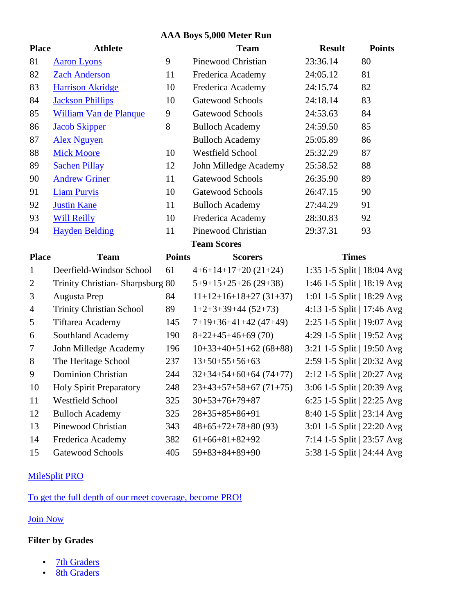#### **AAA Boys 5,000 Meter Run**

| <b>Place</b>   | <b>Athlete</b>                  |               | <b>Team</b>              | <b>Result</b>              | <b>Points</b> |
|----------------|---------------------------------|---------------|--------------------------|----------------------------|---------------|
| 81             | <b>Aaron Lyons</b>              | 9             | Pinewood Christian       | 23:36.14                   | 80            |
| 82             | <b>Zach Anderson</b>            | 11            | Frederica Academy        | 24:05.12                   | 81            |
| 83             | <b>Harrison Akridge</b>         | 10            | Frederica Academy        | 24:15.74                   | 82            |
| 84             | <b>Jackson Phillips</b>         | 10            | Gatewood Schools         | 24:18.14                   | 83            |
| 85             | <b>William Van de Planque</b>   | 9             | <b>Gatewood Schools</b>  | 24:53.63                   | 84            |
| 86             | <b>Jacob Skipper</b>            | 8             | <b>Bulloch Academy</b>   | 24:59.50                   | 85            |
| 87             | <b>Alex Nguyen</b>              |               | <b>Bulloch Academy</b>   | 25:05.89                   | 86            |
| 88             | <b>Mick Moore</b>               | 10            | <b>Westfield School</b>  | 25:32.29                   | 87            |
| 89             | <b>Sachen Pillay</b>            | 12            | John Milledge Academy    | 25:58.52                   | 88            |
| 90             | <b>Andrew Griner</b>            | 11            | Gatewood Schools         | 26:35.90                   | 89            |
| 91             | <b>Liam Purvis</b>              | 10            | Gatewood Schools         | 26:47.15                   | 90            |
| 92             | <b>Justin Kane</b>              | 11            | <b>Bulloch Academy</b>   | 27:44.29                   | 91            |
| 93             | <b>Will Reilly</b>              | 10            | Frederica Academy        | 28:30.83                   | 92            |
| 94             | <b>Hayden Belding</b>           | 11            | Pinewood Christian       | 29:37.31                   | 93            |
|                |                                 |               | <b>Team Scores</b>       |                            |               |
|                |                                 |               |                          |                            |               |
| <b>Place</b>   | <b>Team</b>                     | <b>Points</b> | <b>Scorers</b>           | <b>Times</b>               |               |
| $\mathbf{1}$   | Deerfield-Windsor School        | 61            | $4+6+14+17+20(21+24)$    | 1:35 1-5 Split   18:04 Avg |               |
| $\overline{2}$ | Trinity Christian-Sharpsburg 80 |               | $5+9+15+25+26(29+38)$    | 1:46 1-5 Split   18:19 Avg |               |
| 3              | Augusta Prep                    | 84            | $11+12+16+18+27$ (31+37) | 1:01 1-5 Split   18:29 Avg |               |
| $\overline{4}$ | <b>Trinity Christian School</b> | 89            | $1+2+3+39+44(52+73)$     | 4:13 1-5 Split   17:46 Avg |               |
| 5              | <b>Tiftarea Academy</b>         | 145           | $7+19+36+41+42(47+49)$   | 2:25 1-5 Split   19:07 Avg |               |
| 6              | Southland Academy               | 190           | $8+22+45+46+69(70)$      | 4:29 1-5 Split   19:52 Avg |               |
| 7              | John Milledge Academy           | 196           | $10+33+40+51+62(68+88)$  | 3:21 1-5 Split   19:50 Avg |               |
| $8\,$          | The Heritage School             | 237           | $13+50+55+56+63$         | 2:59 1-5 Split   20:32 Avg |               |
| 9              | <b>Dominion Christian</b>       | 244           | $32+34+54+60+64(74+77)$  | 2:12 1-5 Split   20:27 Avg |               |
| 10             | <b>Holy Spirit Preparatory</b>  | 248           | $23+43+57+58+67(71+75)$  | 3:06 1-5 Split   20:39 Avg |               |
| 11             | Westfield School                | 325           | $30+53+76+79+87$         | 6:25 1-5 Split   22:25 Avg |               |
| 12             | <b>Bulloch Academy</b>          | 325           | $28+35+85+86+91$         | 8:40 1-5 Split   23:14 Avg |               |
| 13             | Pinewood Christian              | 343           | $48+65+72+78+80(93)$     | 3:01 1-5 Split   22:20 Avg |               |
| 14             | Frederica Academy               | 382           | $61+66+81+82+92$         | 7:14 1-5 Split   23:57 Avg |               |

#### MileSplit PRO

To get the full depth of our meet coverage, become PRO!

### Join Now

### **Filter by Grades**

J 7th Graders  $\int$  8th Graders